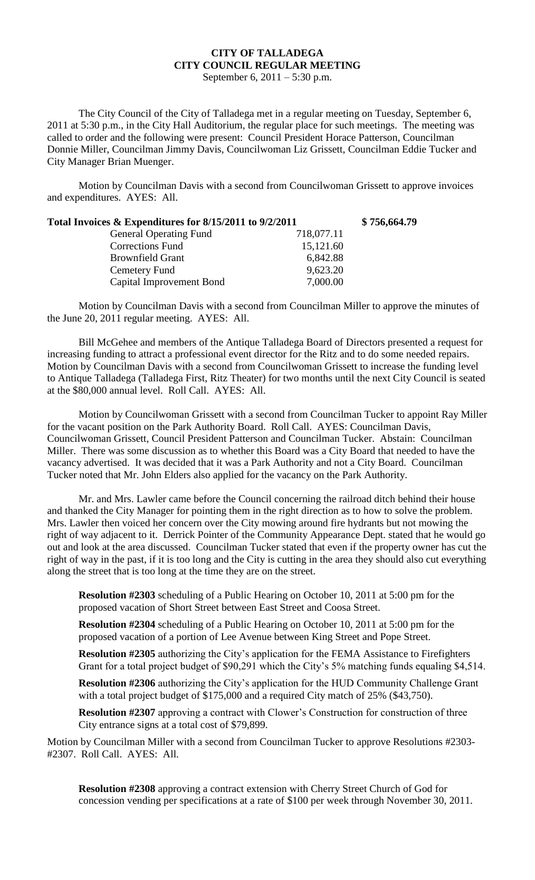## **CITY OF TALLADEGA CITY COUNCIL REGULAR MEETING**

September 6, 2011 – 5:30 p.m.

The City Council of the City of Talladega met in a regular meeting on Tuesday, September 6, 2011 at 5:30 p.m., in the City Hall Auditorium, the regular place for such meetings. The meeting was called to order and the following were present: Council President Horace Patterson, Councilman Donnie Miller, Councilman Jimmy Davis, Councilwoman Liz Grissett, Councilman Eddie Tucker and City Manager Brian Muenger.

Motion by Councilman Davis with a second from Councilwoman Grissett to approve invoices and expenditures. AYES: All.

| Total Invoices & Expenditures for 8/15/2011 to 9/2/2011 |            | \$756,664.79 |
|---------------------------------------------------------|------------|--------------|
| <b>General Operating Fund</b>                           | 718,077.11 |              |
| <b>Corrections Fund</b>                                 | 15,121.60  |              |
| <b>Brownfield Grant</b>                                 | 6,842.88   |              |
| Cemetery Fund                                           | 9,623.20   |              |
| Capital Improvement Bond                                | 7,000.00   |              |

Motion by Councilman Davis with a second from Councilman Miller to approve the minutes of the June 20, 2011 regular meeting. AYES: All.

Bill McGehee and members of the Antique Talladega Board of Directors presented a request for increasing funding to attract a professional event director for the Ritz and to do some needed repairs. Motion by Councilman Davis with a second from Councilwoman Grissett to increase the funding level to Antique Talladega (Talladega First, Ritz Theater) for two months until the next City Council is seated at the \$80,000 annual level. Roll Call. AYES: All.

Motion by Councilwoman Grissett with a second from Councilman Tucker to appoint Ray Miller for the vacant position on the Park Authority Board. Roll Call. AYES: Councilman Davis, Councilwoman Grissett, Council President Patterson and Councilman Tucker. Abstain: Councilman Miller. There was some discussion as to whether this Board was a City Board that needed to have the vacancy advertised. It was decided that it was a Park Authority and not a City Board. Councilman Tucker noted that Mr. John Elders also applied for the vacancy on the Park Authority.

Mr. and Mrs. Lawler came before the Council concerning the railroad ditch behind their house and thanked the City Manager for pointing them in the right direction as to how to solve the problem. Mrs. Lawler then voiced her concern over the City mowing around fire hydrants but not mowing the right of way adjacent to it. Derrick Pointer of the Community Appearance Dept. stated that he would go out and look at the area discussed. Councilman Tucker stated that even if the property owner has cut the right of way in the past, if it is too long and the City is cutting in the area they should also cut everything along the street that is too long at the time they are on the street.

**Resolution #2303** scheduling of a Public Hearing on October 10, 2011 at 5:00 pm for the proposed vacation of Short Street between East Street and Coosa Street.

**Resolution #2304** scheduling of a Public Hearing on October 10, 2011 at 5:00 pm for the proposed vacation of a portion of Lee Avenue between King Street and Pope Street.

**Resolution #2305** authorizing the City's application for the FEMA Assistance to Firefighters Grant for a total project budget of \$90,291 which the City's 5% matching funds equaling \$4,514.

**Resolution #2306** authorizing the City's application for the HUD Community Challenge Grant with a total project budget of \$175,000 and a required City match of 25% (\$43,750).

**Resolution #2307** approving a contract with Clower's Construction for construction of three City entrance signs at a total cost of \$79,899.

Motion by Councilman Miller with a second from Councilman Tucker to approve Resolutions #2303- #2307. Roll Call. AYES: All.

**Resolution #2308** approving a contract extension with Cherry Street Church of God for concession vending per specifications at a rate of \$100 per week through November 30, 2011.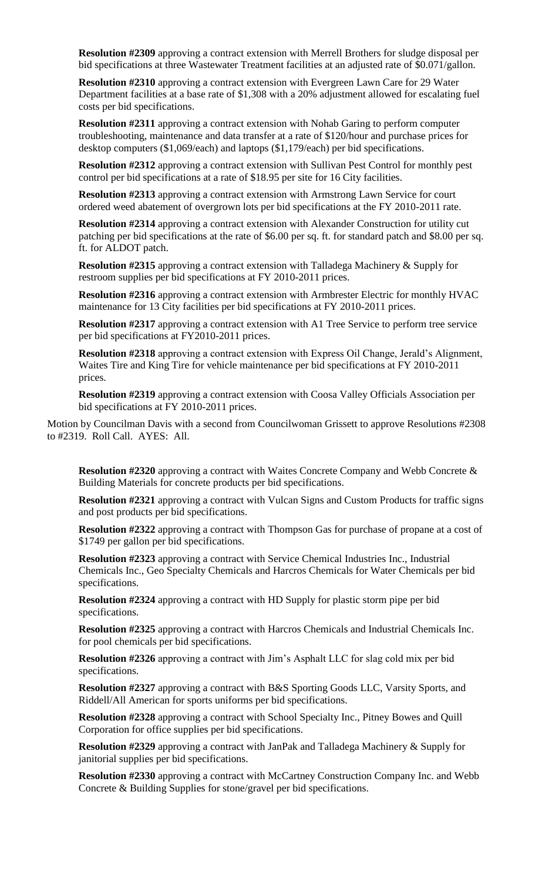**Resolution #2309** approving a contract extension with Merrell Brothers for sludge disposal per bid specifications at three Wastewater Treatment facilities at an adjusted rate of \$0.071/gallon.

**Resolution #2310** approving a contract extension with Evergreen Lawn Care for 29 Water Department facilities at a base rate of \$1,308 with a 20% adjustment allowed for escalating fuel costs per bid specifications.

**Resolution #2311** approving a contract extension with Nohab Garing to perform computer troubleshooting, maintenance and data transfer at a rate of \$120/hour and purchase prices for desktop computers (\$1,069/each) and laptops (\$1,179/each) per bid specifications.

**Resolution #2312** approving a contract extension with Sullivan Pest Control for monthly pest control per bid specifications at a rate of \$18.95 per site for 16 City facilities.

**Resolution #2313** approving a contract extension with Armstrong Lawn Service for court ordered weed abatement of overgrown lots per bid specifications at the FY 2010-2011 rate.

**Resolution #2314** approving a contract extension with Alexander Construction for utility cut patching per bid specifications at the rate of \$6.00 per sq. ft. for standard patch and \$8.00 per sq. ft. for ALDOT patch.

**Resolution #2315** approving a contract extension with Talladega Machinery & Supply for restroom supplies per bid specifications at FY 2010-2011 prices.

**Resolution #2316** approving a contract extension with Armbrester Electric for monthly HVAC maintenance for 13 City facilities per bid specifications at FY 2010-2011 prices.

**Resolution #2317** approving a contract extension with A1 Tree Service to perform tree service per bid specifications at FY2010-2011 prices.

**Resolution #2318** approving a contract extension with Express Oil Change, Jerald's Alignment, Waites Tire and King Tire for vehicle maintenance per bid specifications at FY 2010-2011 prices.

**Resolution #2319** approving a contract extension with Coosa Valley Officials Association per bid specifications at FY 2010-2011 prices.

Motion by Councilman Davis with a second from Councilwoman Grissett to approve Resolutions #2308 to #2319. Roll Call. AYES: All.

**Resolution #2320** approving a contract with Waites Concrete Company and Webb Concrete & Building Materials for concrete products per bid specifications.

**Resolution #2321** approving a contract with Vulcan Signs and Custom Products for traffic signs and post products per bid specifications.

**Resolution #2322** approving a contract with Thompson Gas for purchase of propane at a cost of \$1749 per gallon per bid specifications.

**Resolution #2323** approving a contract with Service Chemical Industries Inc., Industrial Chemicals Inc., Geo Specialty Chemicals and Harcros Chemicals for Water Chemicals per bid specifications.

**Resolution #2324** approving a contract with HD Supply for plastic storm pipe per bid specifications.

**Resolution #2325** approving a contract with Harcros Chemicals and Industrial Chemicals Inc. for pool chemicals per bid specifications.

**Resolution #2326** approving a contract with Jim's Asphalt LLC for slag cold mix per bid specifications.

**Resolution #2327** approving a contract with B&S Sporting Goods LLC, Varsity Sports, and Riddell/All American for sports uniforms per bid specifications.

**Resolution #2328** approving a contract with School Specialty Inc., Pitney Bowes and Quill Corporation for office supplies per bid specifications.

**Resolution #2329** approving a contract with JanPak and Talladega Machinery & Supply for janitorial supplies per bid specifications.

**Resolution #2330** approving a contract with McCartney Construction Company Inc. and Webb Concrete & Building Supplies for stone/gravel per bid specifications.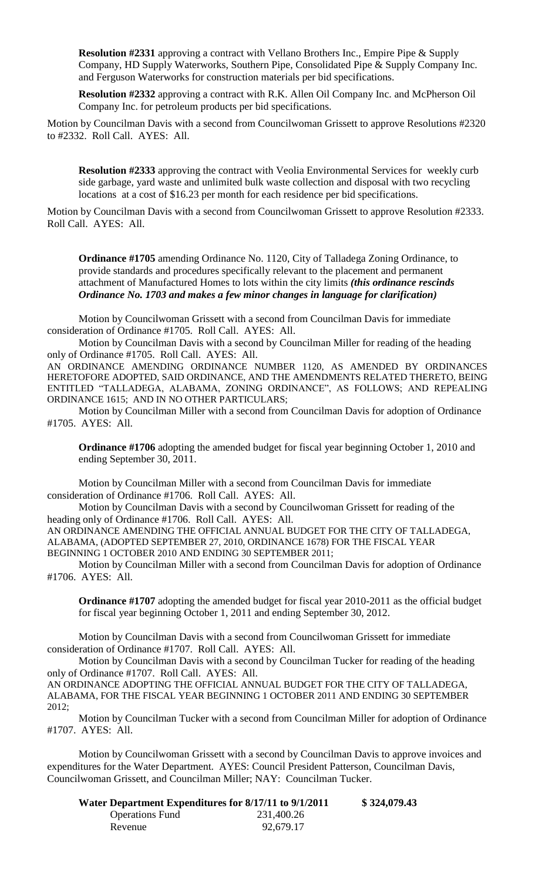**Resolution #2331** approving a contract with Vellano Brothers Inc., Empire Pipe & Supply Company, HD Supply Waterworks, Southern Pipe, Consolidated Pipe & Supply Company Inc. and Ferguson Waterworks for construction materials per bid specifications.

**Resolution #2332** approving a contract with R.K. Allen Oil Company Inc. and McPherson Oil Company Inc. for petroleum products per bid specifications.

Motion by Councilman Davis with a second from Councilwoman Grissett to approve Resolutions #2320 to #2332. Roll Call. AYES: All.

**Resolution #2333** approving the contract with Veolia Environmental Services for weekly curb side garbage, yard waste and unlimited bulk waste collection and disposal with two recycling locations at a cost of \$16.23 per month for each residence per bid specifications.

Motion by Councilman Davis with a second from Councilwoman Grissett to approve Resolution #2333. Roll Call. AYES: All.

**Ordinance #1705** amending Ordinance No. 1120, City of Talladega Zoning Ordinance, to provide standards and procedures specifically relevant to the placement and permanent attachment of Manufactured Homes to lots within the city limits *(this ordinance rescinds Ordinance No. 1703 and makes a few minor changes in language for clarification)*

Motion by Councilwoman Grissett with a second from Councilman Davis for immediate consideration of Ordinance #1705. Roll Call. AYES: All.

Motion by Councilman Davis with a second by Councilman Miller for reading of the heading only of Ordinance #1705. Roll Call. AYES: All.

AN ORDINANCE AMENDING ORDINANCE NUMBER 1120, AS AMENDED BY ORDINANCES HERETOFORE ADOPTED, SAID ORDINANCE, AND THE AMENDMENTS RELATED THERETO, BEING ENTITLED "TALLADEGA, ALABAMA, ZONING ORDINANCE", AS FOLLOWS; AND REPEALING ORDINANCE 1615; AND IN NO OTHER PARTICULARS;

Motion by Councilman Miller with a second from Councilman Davis for adoption of Ordinance #1705. AYES: All.

**Ordinance #1706** adopting the amended budget for fiscal year beginning October 1, 2010 and ending September 30, 2011.

Motion by Councilman Miller with a second from Councilman Davis for immediate consideration of Ordinance #1706. Roll Call. AYES: All.

Motion by Councilman Davis with a second by Councilwoman Grissett for reading of the heading only of Ordinance #1706. Roll Call. AYES: All.

AN ORDINANCE AMENDING THE OFFICIAL ANNUAL BUDGET FOR THE CITY OF TALLADEGA, ALABAMA, (ADOPTED SEPTEMBER 27, 2010, ORDINANCE 1678) FOR THE FISCAL YEAR BEGINNING 1 OCTOBER 2010 AND ENDING 30 SEPTEMBER 2011;

Motion by Councilman Miller with a second from Councilman Davis for adoption of Ordinance #1706. AYES: All.

**Ordinance #1707** adopting the amended budget for fiscal year 2010-2011 as the official budget for fiscal year beginning October 1, 2011 and ending September 30, 2012.

Motion by Councilman Davis with a second from Councilwoman Grissett for immediate consideration of Ordinance #1707. Roll Call. AYES: All.

Motion by Councilman Davis with a second by Councilman Tucker for reading of the heading only of Ordinance #1707. Roll Call. AYES: All. AN ORDINANCE ADOPTING THE OFFICIAL ANNUAL BUDGET FOR THE CITY OF TALLADEGA,

ALABAMA, FOR THE FISCAL YEAR BEGINNING 1 OCTOBER 2011 AND ENDING 30 SEPTEMBER 2012;

Motion by Councilman Tucker with a second from Councilman Miller for adoption of Ordinance #1707. AYES: All.

Motion by Councilwoman Grissett with a second by Councilman Davis to approve invoices and expenditures for the Water Department. AYES: Council President Patterson, Councilman Davis, Councilwoman Grissett, and Councilman Miller; NAY: Councilman Tucker.

| Water Department Expenditures for 8/17/11 to 9/1/2011 |            | \$324,079.43 |
|-------------------------------------------------------|------------|--------------|
| <b>Operations Fund</b>                                | 231,400.26 |              |
| Revenue                                               | 92,679.17  |              |